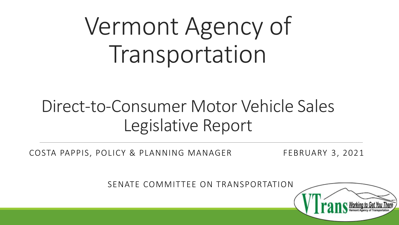# Vermont Agency of Transportation

## Direct-to-Consumer Motor Vehicle Sales Legislative Report

COSTA PAPPIS, POLICY & PLANNING MANAGER FEBRUARY 3, 2021

SENATE COMMITTEE ON TRANSPORTATION

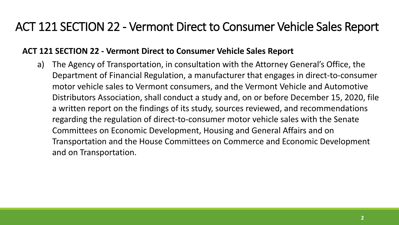#### **ACT 121 SECTION 22 - Vermont Direct to Consumer Vehicle Sales Report**

a) The Agency of Transportation, in consultation with the Attorney General's Office, the Department of Financial Regulation, a manufacturer that engages in direct-to-consumer motor vehicle sales to Vermont consumers, and the Vermont Vehicle and Automotive Distributors Association, shall conduct a study and, on or before December 15, 2020, file a written report on the findings of its study, sources reviewed, and recommendations regarding the regulation of direct-to-consumer motor vehicle sales with the Senate Committees on Economic Development, Housing and General Affairs and on Transportation and the House Committees on Commerce and Economic Development and on Transportation.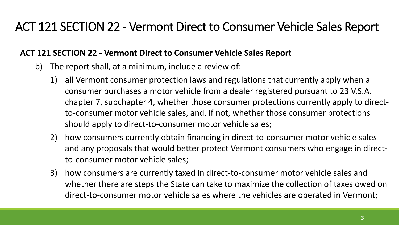#### **ACT 121 SECTION 22 - Vermont Direct to Consumer Vehicle Sales Report**

- b) The report shall, at a minimum, include a review of:
	- 1) all Vermont consumer protection laws and regulations that currently apply when a consumer purchases a motor vehicle from a dealer registered pursuant to 23 V.S.A. chapter 7, subchapter 4, whether those consumer protections currently apply to directto-consumer motor vehicle sales, and, if not, whether those consumer protections should apply to direct-to-consumer motor vehicle sales;
	- 2) how consumers currently obtain financing in direct-to-consumer motor vehicle sales and any proposals that would better protect Vermont consumers who engage in directto-consumer motor vehicle sales;
	- 3) how consumers are currently taxed in direct-to-consumer motor vehicle sales and whether there are steps the State can take to maximize the collection of taxes owed on direct-to-consumer motor vehicle sales where the vehicles are operated in Vermont;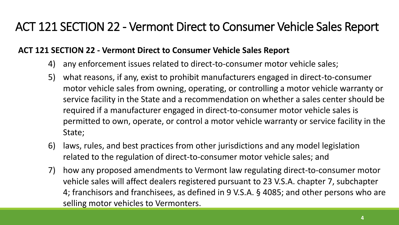#### **ACT 121 SECTION 22 - Vermont Direct to Consumer Vehicle Sales Report**

- 4) any enforcement issues related to direct-to-consumer motor vehicle sales;
- 5) what reasons, if any, exist to prohibit manufacturers engaged in direct-to-consumer motor vehicle sales from owning, operating, or controlling a motor vehicle warranty or service facility in the State and a recommendation on whether a sales center should be required if a manufacturer engaged in direct-to-consumer motor vehicle sales is permitted to own, operate, or control a motor vehicle warranty or service facility in the State;
- 6) laws, rules, and best practices from other jurisdictions and any model legislation related to the regulation of direct-to-consumer motor vehicle sales; and
- 7) how any proposed amendments to Vermont law regulating direct-to-consumer motor vehicle sales will affect dealers registered pursuant to 23 V.S.A. chapter 7, subchapter 4; franchisors and franchisees, as defined in 9 V.S.A. § 4085; and other persons who are selling motor vehicles to Vermonters.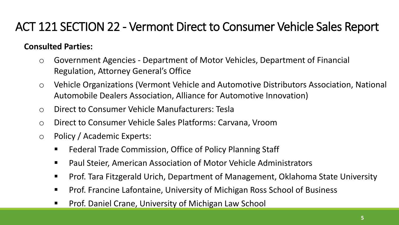#### **Consulted Parties:**

- o Government Agencies Department of Motor Vehicles, Department of Financial Regulation, Attorney General's Office
- o Vehicle Organizations (Vermont Vehicle and Automotive Distributors Association, National Automobile Dealers Association, Alliance for Automotive Innovation)
- o Direct to Consumer Vehicle Manufacturers: Tesla
- o Direct to Consumer Vehicle Sales Platforms: Carvana, Vroom
- o Policy / Academic Experts:
	- Federal Trade Commission, Office of Policy Planning Staff
	- Paul Steier, American Association of Motor Vehicle Administrators
	- Prof. Tara Fitzgerald Urich, Department of Management, Oklahoma State University
	- Prof. Francine Lafontaine, University of Michigan Ross School of Business
	- Prof. Daniel Crane, University of Michigan Law School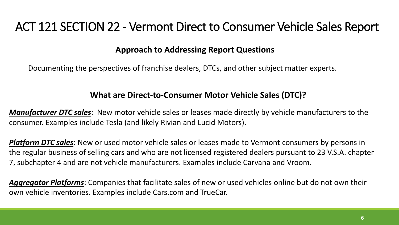#### **Approach to Addressing Report Questions**

Documenting the perspectives of franchise dealers, DTCs, and other subject matter experts.

#### **What are Direct-to-Consumer Motor Vehicle Sales (DTC)?**

*Manufacturer DTC sales*: New motor vehicle sales or leases made directly by vehicle manufacturers to the consumer. Examples include Tesla (and likely Rivian and Lucid Motors).

*Platform DTC sales*: New or used motor vehicle sales or leases made to Vermont consumers by persons in the regular business of selling cars and who are not licensed registered dealers pursuant to 23 V.S.A. chapter 7, subchapter 4 and are not vehicle manufacturers. Examples include Carvana and Vroom.

*Aggregator Platforms*: Companies that facilitate sales of new or used vehicles online but do not own their own vehicle inventories. Examples include Cars.com and TrueCar.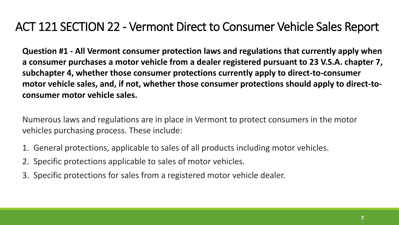**Question #1 - All Vermont consumer protection laws and regulations that currently apply when a consumer purchases a motor vehicle from a dealer registered pursuant to 23 V.S.A. chapter 7, subchapter 4, whether those consumer protections currently apply to direct-to-consumer motor vehicle sales, and, if not, whether those consumer protections should apply to direct-toconsumer motor vehicle sales.**

Numerous laws and regulations are in place in Vermont to protect consumers in the motor vehicles purchasing process. These include:

- 1. General protections, applicable to sales of all products including motor vehicles.
- 2. Specific protections applicable to sales of motor vehicles.
- 3. Specific protections for sales from a registered motor vehicle dealer.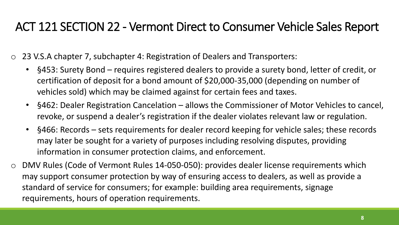- o 23 V.S.A chapter 7, subchapter 4: Registration of Dealers and Transporters:
	- §453: Surety Bond requires registered dealers to provide a surety bond, letter of credit, or certification of deposit for a bond amount of \$20,000-35,000 (depending on number of vehicles sold) which may be claimed against for certain fees and taxes.
	- §462: Dealer Registration Cancelation allows the Commissioner of Motor Vehicles to cancel, revoke, or suspend a dealer's registration if the dealer violates relevant law or regulation.
	- §466: Records sets requirements for dealer record keeping for vehicle sales; these records may later be sought for a variety of purposes including resolving disputes, providing information in consumer protection claims, and enforcement.
- o DMV Rules (Code of Vermont Rules 14-050-050): provides dealer license requirements which may support consumer protection by way of ensuring access to dealers, as well as provide a standard of service for consumers; for example: building area requirements, signage requirements, hours of operation requirements.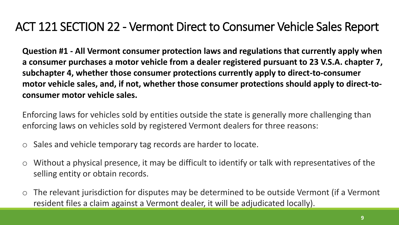**Question #1 - All Vermont consumer protection laws and regulations that currently apply when a consumer purchases a motor vehicle from a dealer registered pursuant to 23 V.S.A. chapter 7, subchapter 4, whether those consumer protections currently apply to direct-to-consumer motor vehicle sales, and, if not, whether those consumer protections should apply to direct-toconsumer motor vehicle sales.**

Enforcing laws for vehicles sold by entities outside the state is generally more challenging than enforcing laws on vehicles sold by registered Vermont dealers for three reasons:

- o Sales and vehicle temporary tag records are harder to locate.
- $\circ$  Without a physical presence, it may be difficult to identify or talk with representatives of the selling entity or obtain records.
- o The relevant jurisdiction for disputes may be determined to be outside Vermont (if a Vermont resident files a claim against a Vermont dealer, it will be adjudicated locally).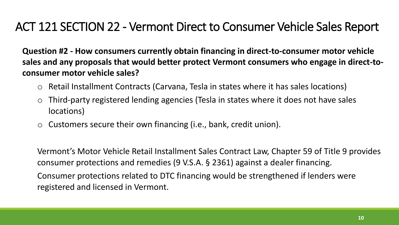**Question #2 - How consumers currently obtain financing in direct-to-consumer motor vehicle sales and any proposals that would better protect Vermont consumers who engage in direct-toconsumer motor vehicle sales?**

- o Retail Installment Contracts (Carvana, Tesla in states where it has sales locations)
- o Third-party registered lending agencies (Tesla in states where it does not have sales locations)
- $\circ$  Customers secure their own financing (i.e., bank, credit union).

Vermont's Motor Vehicle Retail Installment Sales Contract Law, Chapter 59 of Title 9 provides consumer protections and remedies (9 V.S.A. § 2361) against a dealer financing.

Consumer protections related to DTC financing would be strengthened if lenders were registered and licensed in Vermont.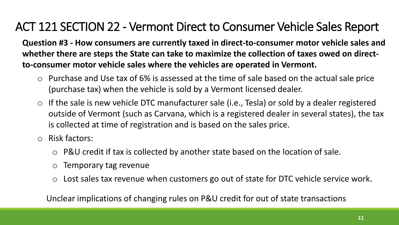**Question #3 - How consumers are currently taxed in direct-to-consumer motor vehicle sales and whether there are steps the State can take to maximize the collection of taxes owed on directto-consumer motor vehicle sales where the vehicles are operated in Vermont.**

- o Purchase and Use tax of 6% is assessed at the time of sale based on the actual sale price (purchase tax) when the vehicle is sold by a Vermont licensed dealer.
- $\circ$  If the sale is new vehicle DTC manufacturer sale (i.e., Tesla) or sold by a dealer registered outside of Vermont (such as Carvana, which is a registered dealer in several states), the tax is collected at time of registration and is based on the sales price.
- o Risk factors:
	- o P&U credit if tax is collected by another state based on the location of sale.
	- o Temporary tag revenue
	- Lost sales tax revenue when customers go out of state for DTC vehicle service work.

Unclear implications of changing rules on P&U credit for out of state transactions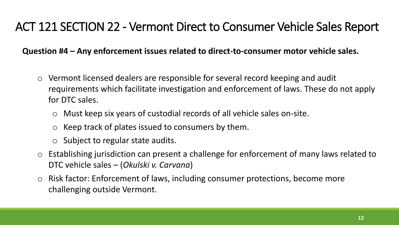**Question #4 – Any enforcement issues related to direct-to-consumer motor vehicle sales.**

- o Vermont licensed dealers are responsible for several record keeping and audit requirements which facilitate investigation and enforcement of laws. These do not apply for DTC sales.
	- o Must keep six years of custodial records of all vehicle sales on-site.
	- o Keep track of plates issued to consumers by them.
	- o Subject to regular state audits.
- o Establishing jurisdiction can present a challenge for enforcement of many laws related to DTC vehicle sales – (*Okulski v. Carvana*)
- o Risk factor: Enforcement of laws, including consumer protections, become more challenging outside Vermont.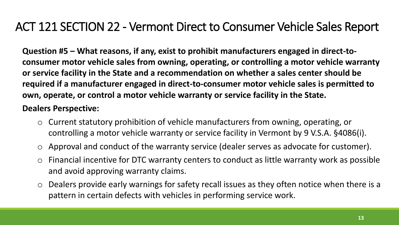**Question #5 – What reasons, if any, exist to prohibit manufacturers engaged in direct-toconsumer motor vehicle sales from owning, operating, or controlling a motor vehicle warranty or service facility in the State and a recommendation on whether a sales center should be required if a manufacturer engaged in direct-to-consumer motor vehicle sales is permitted to own, operate, or control a motor vehicle warranty or service facility in the State.**

#### **Dealers Perspective:**

- o Current statutory prohibition of vehicle manufacturers from owning, operating, or controlling a motor vehicle warranty or service facility in Vermont by 9 V.S.A. §4086(i).
- o Approval and conduct of the warranty service (dealer serves as advocate for customer).
- o Financial incentive for DTC warranty centers to conduct as little warranty work as possible and avoid approving warranty claims.
- $\circ$  Dealers provide early warnings for safety recall issues as they often notice when there is a pattern in certain defects with vehicles in performing service work.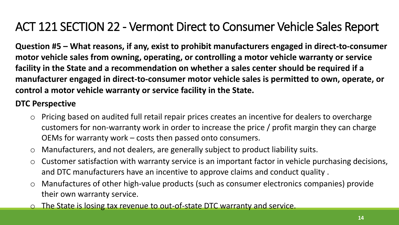**Question #5 – What reasons, if any, exist to prohibit manufacturers engaged in direct-to-consumer motor vehicle sales from owning, operating, or controlling a motor vehicle warranty or service facility in the State and a recommendation on whether a sales center should be required if a manufacturer engaged in direct-to-consumer motor vehicle sales is permitted to own, operate, or control a motor vehicle warranty or service facility in the State.**

#### **DTC Perspective**

- o Pricing based on audited full retail repair prices creates an incentive for dealers to overcharge customers for non-warranty work in order to increase the price / profit margin they can charge OEMs for warranty work – costs then passed onto consumers.
- o Manufacturers, and not dealers, are generally subject to product liability suits.
- $\circ$  Customer satisfaction with warranty service is an important factor in vehicle purchasing decisions, and DTC manufacturers have an incentive to approve claims and conduct quality .
- o Manufactures of other high-value products (such as consumer electronics companies) provide their own warranty service.
- o The State is losing tax revenue to out-of-state DTC warranty and service.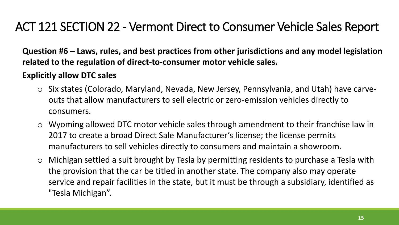**Question #6 – Laws, rules, and best practices from other jurisdictions and any model legislation related to the regulation of direct-to-consumer motor vehicle sales.**

#### **Explicitly allow DTC sales**

- o Six states (Colorado, Maryland, Nevada, New Jersey, Pennsylvania, and Utah) have carveouts that allow manufacturers to sell electric or zero-emission vehicles directly to consumers.
- o Wyoming allowed DTC motor vehicle sales through amendment to their franchise law in 2017 to create a broad Direct Sale Manufacturer's license; the license permits manufacturers to sell vehicles directly to consumers and maintain a showroom.
- o Michigan settled a suit brought by Tesla by permitting residents to purchase a Tesla with the provision that the car be titled in another state. The company also may operate service and repair facilities in the state, but it must be through a subsidiary, identified as "Tesla Michigan".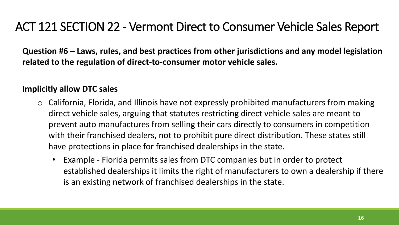**Question #6 – Laws, rules, and best practices from other jurisdictions and any model legislation related to the regulation of direct-to-consumer motor vehicle sales.**

#### **Implicitly allow DTC sales**

- o California, Florida, and Illinois have not expressly prohibited manufacturers from making direct vehicle sales, arguing that statutes restricting direct vehicle sales are meant to prevent auto manufactures from selling their cars directly to consumers in competition with their franchised dealers, not to prohibit pure direct distribution. These states still have protections in place for franchised dealerships in the state.
	- Example Florida permits sales from DTC companies but in order to protect established dealerships it limits the right of manufacturers to own a dealership if there is an existing network of franchised dealerships in the state.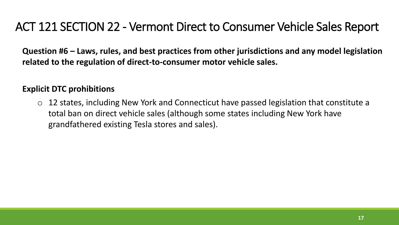**Question #6 – Laws, rules, and best practices from other jurisdictions and any model legislation related to the regulation of direct-to-consumer motor vehicle sales.**

#### **Explicit DTC prohibitions**

 $\circ$  12 states, including New York and Connecticut have passed legislation that constitute a total ban on direct vehicle sales (although some states including New York have grandfathered existing Tesla stores and sales).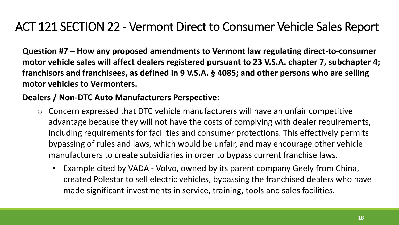**Question #7 – How any proposed amendments to Vermont law regulating direct-to-consumer motor vehicle sales will affect dealers registered pursuant to 23 V.S.A. chapter 7, subchapter 4; franchisors and franchisees, as defined in 9 V.S.A. § 4085; and other persons who are selling motor vehicles to Vermonters.**

#### **Dealers / Non-DTC Auto Manufacturers Perspective:**

- o Concern expressed that DTC vehicle manufacturers will have an unfair competitive advantage because they will not have the costs of complying with dealer requirements, including requirements for facilities and consumer protections. This effectively permits bypassing of rules and laws, which would be unfair, and may encourage other vehicle manufacturers to create subsidiaries in order to bypass current franchise laws.
	- Example cited by VADA Volvo, owned by its parent company Geely from China, created Polestar to sell electric vehicles, bypassing the franchised dealers who have made significant investments in service, training, tools and sales facilities.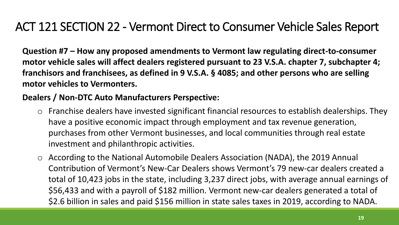**Question #7 – How any proposed amendments to Vermont law regulating direct-to-consumer motor vehicle sales will affect dealers registered pursuant to 23 V.S.A. chapter 7, subchapter 4; franchisors and franchisees, as defined in 9 V.S.A. § 4085; and other persons who are selling motor vehicles to Vermonters.**

#### **Dealers / Non-DTC Auto Manufacturers Perspective:**

- o Franchise dealers have invested significant financial resources to establish dealerships. They have a positive economic impact through employment and tax revenue generation, purchases from other Vermont businesses, and local communities through real estate investment and philanthropic activities.
- o According to the National Automobile Dealers Association (NADA), the 2019 Annual Contribution of Vermont's New-Car Dealers shows Vermont's 79 new-car dealers created a total of 10,423 jobs in the state, including 3,237 direct jobs, with average annual earnings of \$56,433 and with a payroll of \$182 million. Vermont new-car dealers generated a total of \$2.6 billion in sales and paid \$156 million in state sales taxes in 2019, according to NADA.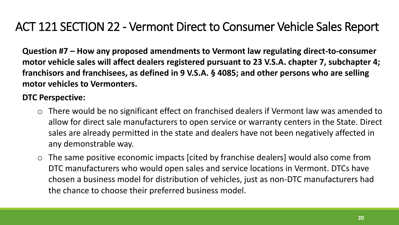**Question #7 – How any proposed amendments to Vermont law regulating direct-to-consumer motor vehicle sales will affect dealers registered pursuant to 23 V.S.A. chapter 7, subchapter 4; franchisors and franchisees, as defined in 9 V.S.A. § 4085; and other persons who are selling motor vehicles to Vermonters.**

#### **DTC Perspective:**

- o There would be no significant effect on franchised dealers if Vermont law was amended to allow for direct sale manufacturers to open service or warranty centers in the State. Direct sales are already permitted in the state and dealers have not been negatively affected in any demonstrable way.
- o The same positive economic impacts [cited by franchise dealers] would also come from DTC manufacturers who would open sales and service locations in Vermont. DTCs have chosen a business model for distribution of vehicles, just as non-DTC manufacturers had the chance to choose their preferred business model.